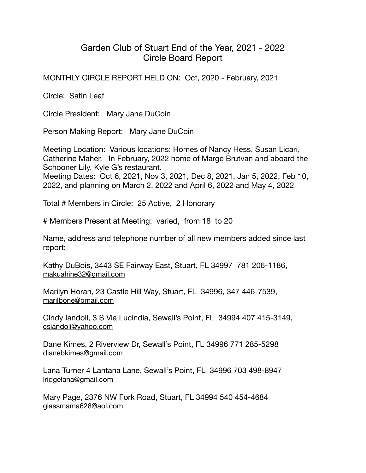## Garden Club of Stuart End of the Year, 2021 - 2022 Circle Board Report

MONTHLY CIRCLE REPORT HELD ON: Oct, 2020 - February, 2021

Circle: Satin Leaf

Circle President: Mary Jane DuCoin

Person Making Report: Mary Jane DuCoin

Meeting Location: Various locations: Homes of Nancy Hess, Susan Licari, Catherine Maher. In February, 2022 home of Marge Brutvan and aboard the Schooner Lily, Kyle G's restaurant.

Meeting Dates: Oct 6, 2021, Nov 3, 2021, Dec 8, 2021, Jan 5, 2022, Feb 10, 2022, and planning on March 2, 2022 and April 6, 2022 and May 4, 2022

Total # Members in Circle: 25 Active, 2 Honorary

# Members Present at Meeting: varied, from 18 to 20

Name, address and telephone number of all new members added since last report:

Kathy DuBois, 3443 SE Fairway East, Stuart, FL 34997 781 206-1186, [makuahine32@gmail.com](mailto:makuahine32@gmail.com)

Marilyn Horan, 23 Castle Hill Way, Stuart, FL 34996, 347 446-7539, [marilbone@gmail.com](mailto:marilbone@gmail.com)

Cindy Iandoli, 3 S Via Lucindia, Sewall's Point, FL 34994 407 415-3149, [csiandoli@yahoo.com](mailto:csiandoli@yahoo.com)

Dane Kimes, 2 Riverview Dr, Sewall's Point, FL 34996 771 285-5298 [dianebkimes@gmail.com](mailto:dianebkimes@gmail.com)

Lana Turner 4 Lantana Lane, Sewall's Point, FL 34996 703 498-8947 [lridgelana@gmail.com](mailto:lridgelana@gmail.com)

Mary Page, 2376 NW Fork Road, Stuart, FL 34994 540 454-4684 [glassmama628@aol.com](mailto:glassmama628@aol.com)